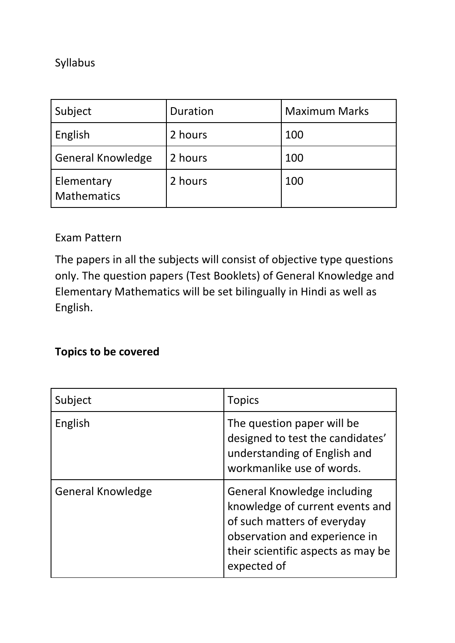#### Syllabus

| Subject                          | Duration | <b>Maximum Marks</b> |
|----------------------------------|----------|----------------------|
| English                          | 2 hours  | 100                  |
| <b>General Knowledge</b>         | 2 hours  | 100                  |
| Elementary<br><b>Mathematics</b> | 2 hours  | 100                  |

#### Exam Pattern

The papers in all the subjects will consist of objective type questions only. The question papers (Test Booklets) of General Knowledge and Elementary Mathematics will be set bilingually in Hindi as well as English.

### **Topics to be covered**

| Subject                  | <b>Topics</b>                                                                                                                                                                              |
|--------------------------|--------------------------------------------------------------------------------------------------------------------------------------------------------------------------------------------|
| English                  | The question paper will be<br>designed to test the candidates'<br>understanding of English and<br>workmanlike use of words.                                                                |
| <b>General Knowledge</b> | <b>General Knowledge including</b><br>knowledge of current events and<br>of such matters of everyday<br>observation and experience in<br>their scientific aspects as may be<br>expected of |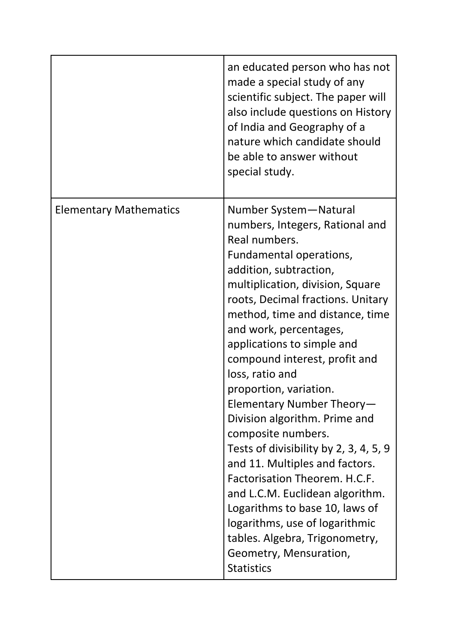|                               | an educated person who has not<br>made a special study of any<br>scientific subject. The paper will<br>also include questions on History<br>of India and Geography of a<br>nature which candidate should<br>be able to answer without<br>special study.                                                                                                                                                                                                                                                                                                                                                                                                                                                                                                                   |
|-------------------------------|---------------------------------------------------------------------------------------------------------------------------------------------------------------------------------------------------------------------------------------------------------------------------------------------------------------------------------------------------------------------------------------------------------------------------------------------------------------------------------------------------------------------------------------------------------------------------------------------------------------------------------------------------------------------------------------------------------------------------------------------------------------------------|
| <b>Elementary Mathematics</b> | Number System-Natural<br>numbers, Integers, Rational and<br>Real numbers.<br>Fundamental operations,<br>addition, subtraction,<br>multiplication, division, Square<br>roots, Decimal fractions. Unitary<br>method, time and distance, time<br>and work, percentages,<br>applications to simple and<br>compound interest, profit and<br>loss, ratio and<br>proportion, variation.<br>Elementary Number Theory-<br>Division algorithm. Prime and<br>composite numbers.<br>Tests of divisibility by 2, 3, 4, 5, 9<br>and 11. Multiples and factors.<br>Factorisation Theorem. H.C.F.<br>and L.C.M. Euclidean algorithm.<br>Logarithms to base 10, laws of<br>logarithms, use of logarithmic<br>tables. Algebra, Trigonometry,<br>Geometry, Mensuration,<br><b>Statistics</b> |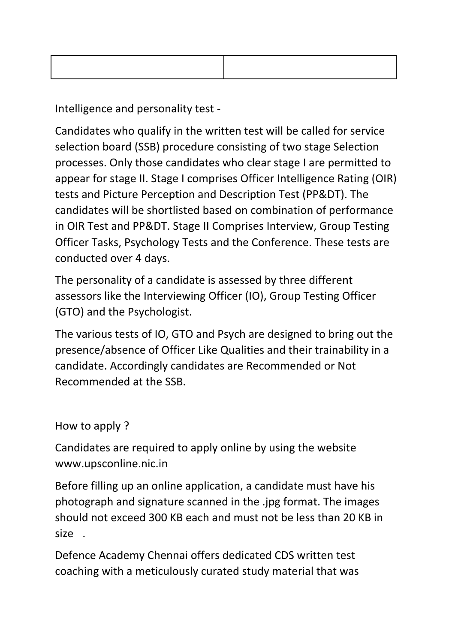Intelligence and personality test -

Candidates who qualify in the written test will be called for service selection board (SSB) procedure consisting of two stage Selection processes. Only those candidates who clear stage I are permitted to appear for stage II. Stage I comprises Officer Intelligence Rating (OIR) tests and Picture Perception and Description Test (PP&DT). The candidates will be shortlisted based on combination of performance in OIR Test and PP&DT. Stage II Comprises Interview, Group Testing Officer Tasks, Psychology Tests and the Conference. These tests are conducted over 4 days.

The personality of a candidate is assessed by three different assessors like the Interviewing Officer (IO), Group Testing Officer (GTO) and the Psychologist.

The various tests of IO, GTO and Psych are designed to bring out the presence/absence of Officer Like Qualities and their trainability in a candidate. Accordingly candidates are Recommended or Not Recommended at the SSB.

How to apply ?

Candidates are required to apply online by using the website www.upsconline.nic.in

Before filling up an online application, a candidate must have his photograph and signature scanned in the .jpg format. The images should not exceed 300 KB each and must not be less than 20 KB in size .

Defence Academy Chennai offers dedicated CDS written test coaching with a meticulously curated study material that was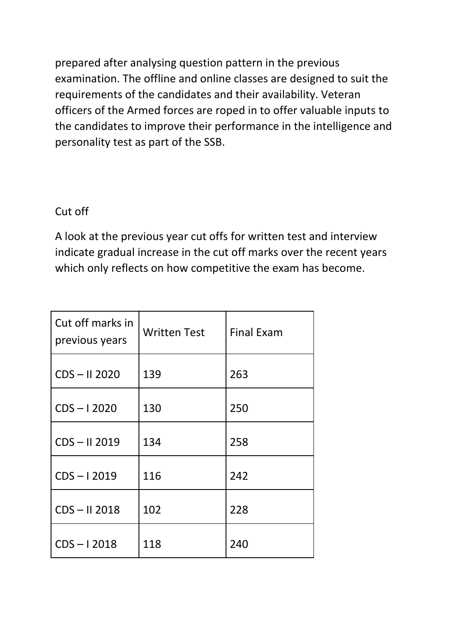prepared after analysing question pattern in the previous examination. The offline and online classes are designed to suit the requirements of the candidates and their availability. Veteran officers of the Armed forces are roped in to offer valuable inputs to the candidates to improve their performance in the intelligence and personality test as part of the SSB.

#### Cut off

A look at the previous year cut offs for written test and interview indicate gradual increase in the cut off marks over the recent years which only reflects on how competitive the exam has become.

| Cut off marks in<br>previous years | <b>Written Test</b> | <b>Final Exam</b> |
|------------------------------------|---------------------|-------------------|
| $CDS - II 2020$                    | 139                 | 263               |
| $CDS - 12020$                      | 130                 | 250               |
| CDS-II 2019                        | 134                 | 258               |
| $CDS - 12019$                      | 116                 | 242               |
| $CDS - II 2018$                    | 102                 | 228               |
| $CDS - 12018$                      | 118                 | 240               |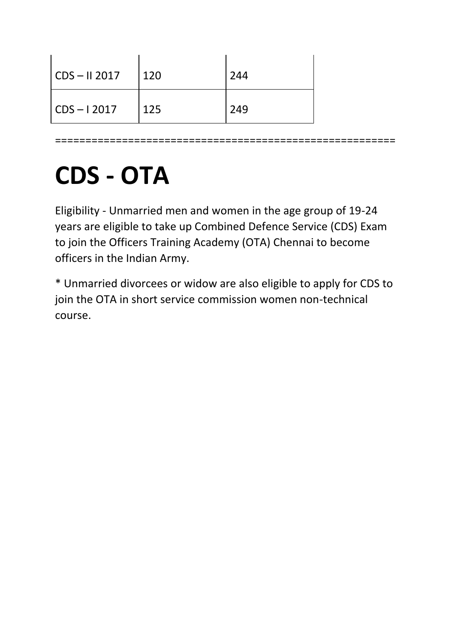| CDS – II 2017 | 120 | 244 |
|---------------|-----|-----|
| CDS – I 2017  | 125 | 249 |

========================================================

# **CDS - OTA**

Eligibility - Unmarried men and women in the age group of 19-24 years are eligible to take up Combined Defence Service (CDS) Exam to join the Officers Training Academy (OTA) Chennai to become officers in the Indian Army.

\* Unmarried divorcees or widow are also eligible to apply for CDS to join the OTA in short service commission women non-technical course.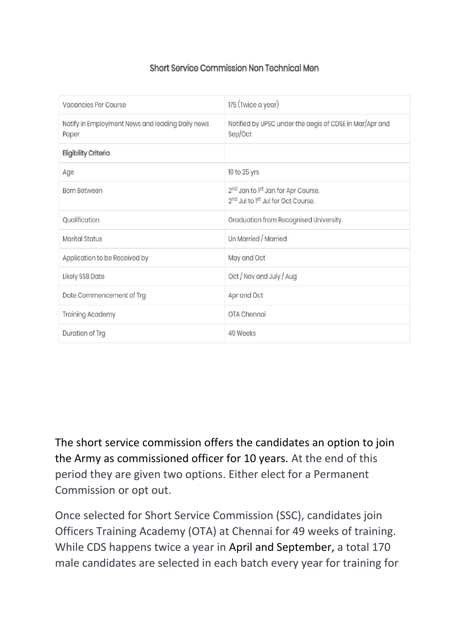#### Short Service Commission Non Technical Men

| <b>Vacancies Per Course</b>                               | 175 (Twice a year)                                                                                                       |
|-----------------------------------------------------------|--------------------------------------------------------------------------------------------------------------------------|
| Notify in Employment News and leading Daily news<br>Paper | Notified by UPSC under the aegis of CDSE in Mar/Apr and<br>Sep/Oct                                                       |
| <b>Eligibility Criteria</b>                               |                                                                                                                          |
| Age                                                       | 19 to 25 yrs                                                                                                             |
| <b>Born Between</b>                                       | 2 <sup>nd</sup> Jan to 1 <sup>st</sup> Jan for Apr Course.<br>2 <sup>nd</sup> Jul to 1 <sup>st</sup> Jul for Oct Course. |
| Qualification                                             | Graduation from Recognised University.                                                                                   |
| <b>Marital Status</b>                                     | Un Married / Married                                                                                                     |
| Application to be Received by                             | May and Oct                                                                                                              |
| <b>Likely SSB Date</b>                                    | Oct / Nov and July / Aug                                                                                                 |
| Date Commencement of Trg                                  | Apr and Oct                                                                                                              |
| <b>Training Academy</b>                                   | OTA Chennai                                                                                                              |
| Duration of Trg                                           | 49 Weeks                                                                                                                 |

The short service commission offers the candidates an option to join the Army as commissioned officer for 10 years. At the end of this period they are given two options. Either elect for a Permanent Commission or opt out.

Once selected for Short Service Commission (SSC), candidates join Officers Training Academy (OTA) at Chennai for 49 weeks of training. While CDS happens twice a year in April and September, a total 170 male candidates are selected in each batch every year for training for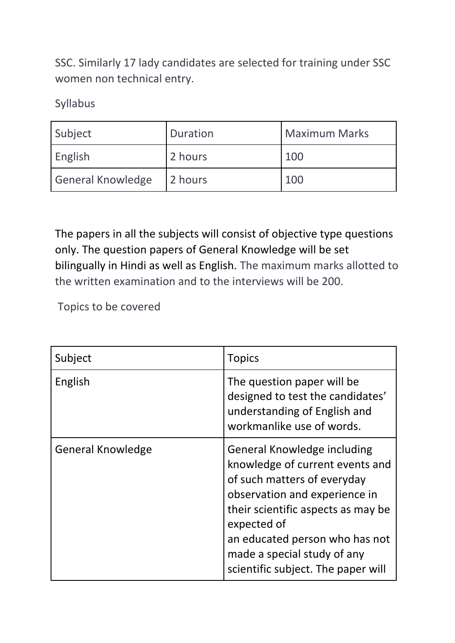SSC. Similarly 17 lady candidates are selected for training under SSC women non technical entry.

Syllabus

| Subject                  | Duration | <b>Maximum Marks</b> |
|--------------------------|----------|----------------------|
| English                  | 2 hours  | 100                  |
| <b>General Knowledge</b> | 2 hours  | 100                  |

The papers in all the subjects will consist of objective type questions only. The question papers of General Knowledge will be set bilingually in Hindi as well as English. The maximum marks allotted to the written examination and to the interviews will be 200.

Topics to be covered

| Subject                  | <b>Topics</b>                                                                                                                                                                                                                                                                              |
|--------------------------|--------------------------------------------------------------------------------------------------------------------------------------------------------------------------------------------------------------------------------------------------------------------------------------------|
| English                  | The question paper will be<br>designed to test the candidates'<br>understanding of English and<br>workmanlike use of words.                                                                                                                                                                |
| <b>General Knowledge</b> | General Knowledge including<br>knowledge of current events and<br>of such matters of everyday<br>observation and experience in<br>their scientific aspects as may be<br>expected of<br>an educated person who has not<br>made a special study of any<br>scientific subject. The paper will |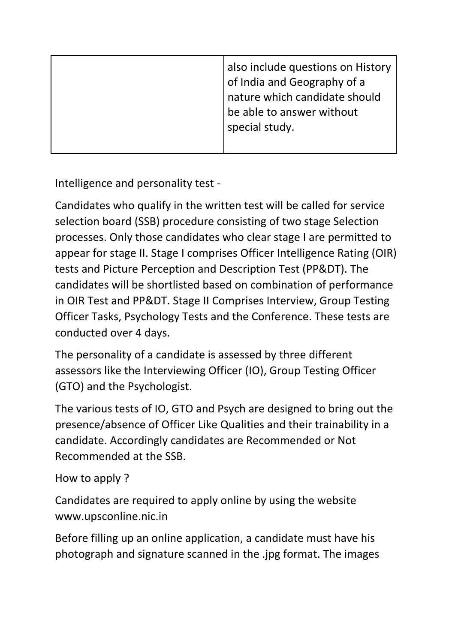| also include questions on History<br>of India and Geography of a<br>nature which candidate should<br>be able to answer without<br>special study. |
|--------------------------------------------------------------------------------------------------------------------------------------------------|
|                                                                                                                                                  |

Intelligence and personality test -

Candidates who qualify in the written test will be called for service selection board (SSB) procedure consisting of two stage Selection processes. Only those candidates who clear stage I are permitted to appear for stage II. Stage I comprises Officer Intelligence Rating (OIR) tests and Picture Perception and Description Test (PP&DT). The candidates will be shortlisted based on combination of performance in OIR Test and PP&DT. Stage II Comprises Interview, Group Testing Officer Tasks, Psychology Tests and the Conference. These tests are conducted over 4 days.

The personality of a candidate is assessed by three different assessors like the Interviewing Officer (IO), Group Testing Officer (GTO) and the Psychologist.

The various tests of IO, GTO and Psych are designed to bring out the presence/absence of Officer Like Qualities and their trainability in a candidate. Accordingly candidates are Recommended or Not Recommended at the SSB.

```
How to apply ?
```
Candidates are required to apply online by using the website www.upsconline.nic.in

Before filling up an online application, a candidate must have his photograph and signature scanned in the .jpg format. The images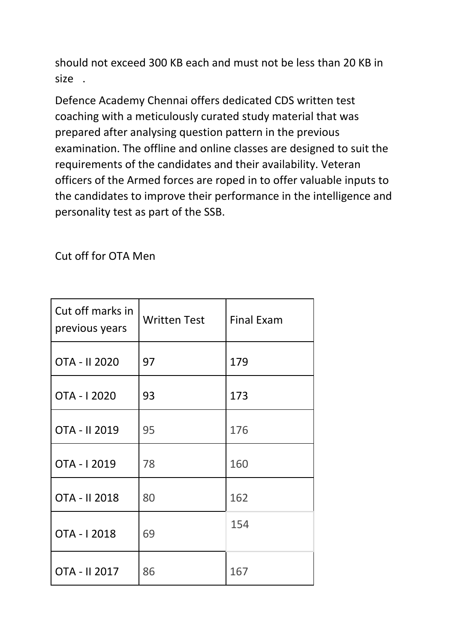should not exceed 300 KB each and must not be less than 20 KB in size .

Defence Academy Chennai offers dedicated CDS written test coaching with a meticulously curated study material that was prepared after analysing question pattern in the previous examination. The offline and online classes are designed to suit the requirements of the candidates and their availability. Veteran officers of the Armed forces are roped in to offer valuable inputs to the candidates to improve their performance in the intelligence and personality test as part of the SSB.

Cut off for OTA Men

| Cut off marks in<br>previous years | <b>Written Test</b> | <b>Final Exam</b> |
|------------------------------------|---------------------|-------------------|
| OTA - II 2020                      | 97                  | 179               |
| OTA - 12020                        | 93                  | 173               |
| OTA - II 2019                      | 95                  | 176               |
| OTA - 12019                        | 78                  | 160               |
| OTA - II 2018                      | 80                  | 162               |
| OTA - 12018                        | 69                  | 154               |
| OTA - II 2017                      | 86                  | 167               |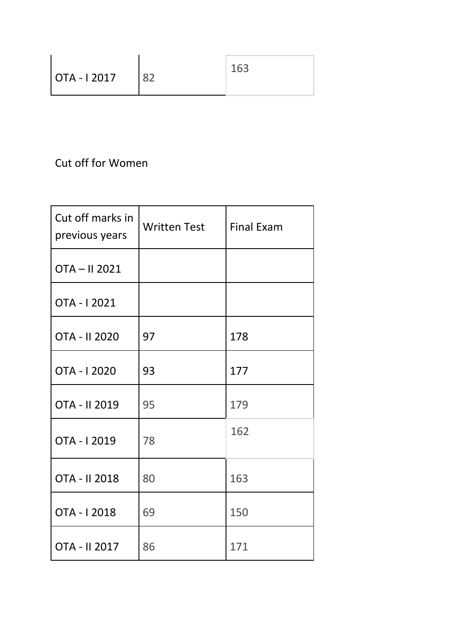| OTA - I 2017 | 163 |
|--------------|-----|

## Cut off for Women

| Cut off marks in<br>previous years | <b>Written Test</b> | <b>Final Exam</b> |
|------------------------------------|---------------------|-------------------|
| OTA-II 2021                        |                     |                   |
| OTA - I 2021                       |                     |                   |
| OTA - II 2020                      | 97                  | 178               |
| OTA - I 2020                       | 93                  | 177               |
| OTA - II 2019                      | 95                  | 179               |
| OTA - 12019                        | 78                  | 162               |
| OTA - II 2018                      | 80                  | 163               |
| OTA - I 2018                       | 69                  | 150               |
| OTA - II 2017                      | 86                  | 171               |